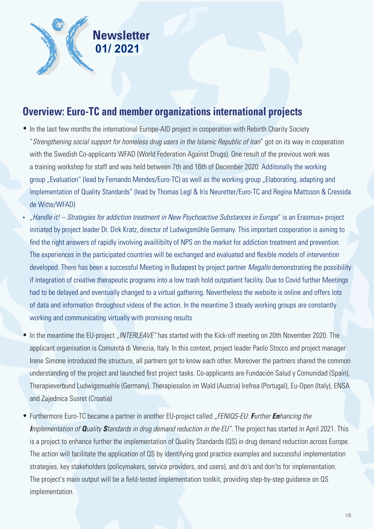

# **Overview: Euro-TC and member organizations international projects**

- In the last few months the international Europe-AID project in cooperation with Rebirth Charity Society "*Strengthening social support for homeless drug users in the Islamic Republic of Iran*" got on its way in cooperation with the Swedish Co-applicants WFAD (World Federation Against Drugs). One result of the previous work was a training workshop for staff and was held between 7th and 16th of December 2020. Additonally the working group "Evaluation" (lead by Fernando Mendes/Euro-TC) as well as the working group "Elaborating, adapting and implementation of Quality Standards" (lead by Thomas Legl & Iris Neuretter/Euro-TC and Regina Mattsson & Cressida de Witte/WFAD)
- • "*Handle it! Strategies for addiction treatment in New Psychoactive Substances in Europe*" is an Erasmus+ project initiated by project leader Dr. Dirk Kratz, director of Ludwigsmühle Germany. This important cooperation is aiming to find the right answers of rapidly involving availlibilty of NPS on the market for addiction treatment and prevention. The experiences in the participated countries will be exchanged and evaluated and flexible models of intervention developed. There has been a successful Meeting in Budapest by project partner *Megallo* demonstrating the possibility if integration of creative therapeutic programs into a low trash hold outpatient facility. Due to Covid further Meetings had to be delayed and eventually changed to a virtual gathering. Nevertheless the website is online and offers lots of data and information throughout videos of the action. In the meantime 3 steady working groups are constantly working and communicating virtually with promising results
- In the meantime the EU-project "*INTERLEAVE*" has started with the Kick-off meeting on 20th November 2020. The applicant organisation is Comunità di Venezia, Italy. In this context, project leader Paolo Stocco and project manager Irene Simone introduced the structure, all partners got to know each other. Moreover the partners shared the common understanding of the project and launched first project tasks. Co-applicants are Fundación Salud y Comunidad (Spain), Therapieverbund Ludwigsmuehle (Germany), Therapiesalon im Wald (Austria) Irefrea (Portugal), Eu-Open (Italy), ENSA and Zajednica Susret (Croatia)
- • Furthermore Euro-TC became a partner in another EU-project called *"FENIQS-EU: Further Enhancing the Implementation of Quality Standards in drug demand reduction in the EU"*. The project has started in April 2021. This is a project to enhance further the implementation of Quality Standards (QS) in drug demand reduction across Europe. The action will facilitate the application of QS by identifying good practice examples and successful implementation strategies, key stakeholders (policymakers, service providers, and users), and do's and don'ts for implementation. The project's main output will be a field-tested implementation toolkit, providing step-by-step guidance on QS implementation.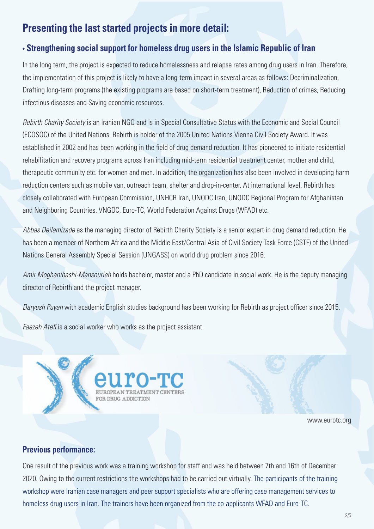## **Presenting the last started projects in more detail:**

## **• Strengthening social support for homeless drug users in the Islamic Republic of Iran**

In the long term, the project is expected to reduce homelessness and relapse rates among drug users in Iran. Therefore, the implementation of this project is likely to have a long-term impact in several areas as follows: Decriminalization, Drafting long-term programs (the existing programs are based on short-term treatment), Reduction of crimes, Reducing infectious diseases and Saving economic resources.

*Rebirth Charity Society* is an Iranian NGO and is in Special Consultative Status with the Economic and Social Council (ECOSOC) of the United Nations. Rebirth is holder of the 2005 United Nations Vienna Civil Society Award. It was established in 2002 and has been working in the field of drug demand reduction. It has pioneered to initiate residential rehabilitation and recovery programs across Iran including mid-term residential treatment center, mother and child, therapeutic community etc. for women and men. In addition, the organization has also been involved in developing harm reduction centers such as mobile van, outreach team, shelter and drop-in-center. At international level, Rebirth has closely collaborated with European Commission, UNHCR Iran, UNODC Iran, UNODC Regional Program for Afghanistan and Neighboring Countries, VNGOC, Euro-TC, World Federation Against Drugs (WFAD) etc.

*Abbas Deilamizade* as the managing director of Rebirth Charity Society is a senior expert in drug demand reduction. He has been a member of Northern Africa and the Middle East/Central Asia of Civil Society Task Force (CSTF) of the United Nations General Assembly Special Session (UNGASS) on world drug problem since 2016.

*Amir Moghanibashi-Mansourieh* holds bachelor, master and a PhD candidate in social work. He is the deputy managing director of Rebirth and the project manager.

*Daryush Puyan* with academic English studies background has been working for Rebirth as project officer since 2015.

*Faezeh Atefi* is a social worker who works as the project assistant.



www.eurotc.org

### **Previous performance:**

One result of the previous work was a training workshop for staff and was held between 7th and 16th of December 2020. Owing to the current restrictions the workshops had to be carried out virtually. The participants of the training workshop were Iranian case managers and peer support specialists who are offering case management services to homeless drug users in Iran. The trainers have been organized from the co-applicants WFAD and Euro-TC.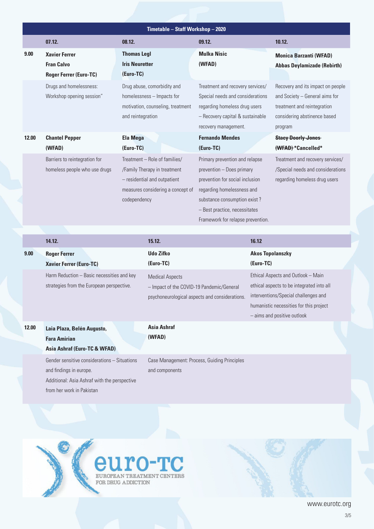| Timetable - Staff Workshop - 2020 |                                                                                                                                                                                                                                                          |                                                                                                                                                    |                                                                                                                                                                                                                                    |                                                                                                                                                                                                   |                                                                                                                                               |
|-----------------------------------|----------------------------------------------------------------------------------------------------------------------------------------------------------------------------------------------------------------------------------------------------------|----------------------------------------------------------------------------------------------------------------------------------------------------|------------------------------------------------------------------------------------------------------------------------------------------------------------------------------------------------------------------------------------|---------------------------------------------------------------------------------------------------------------------------------------------------------------------------------------------------|-----------------------------------------------------------------------------------------------------------------------------------------------|
|                                   | 07.12.                                                                                                                                                                                                                                                   | 08.12.                                                                                                                                             | 09.12.                                                                                                                                                                                                                             |                                                                                                                                                                                                   | 10.12.                                                                                                                                        |
| 9.00                              | <b>Xavier Ferrer</b><br><b>Fran Calvo</b><br><b>Roger Ferrer (Euro-TC)</b>                                                                                                                                                                               | <b>Thomas Legl</b><br><b>Iris Neuretter</b><br>(Euro-TC)                                                                                           | <b>Mulka Nisic</b><br>(WFAD)                                                                                                                                                                                                       |                                                                                                                                                                                                   | <b>Monica Barzanti (WFAD)</b><br><b>Abbas Deylamizade (Rebirth)</b>                                                                           |
|                                   | Drugs and homelessness:<br>Workshop opening session"                                                                                                                                                                                                     | Drug abuse, comorbidity and<br>homelessness - Impacts for<br>motivation, counseling, treatment<br>and reintegration                                | Treatment and recovery services/<br>Special needs and considerations<br>regarding homeless drug users<br>- Recovery capital & sustainable<br>recovery management.                                                                  |                                                                                                                                                                                                   | Recovery and its impact on people<br>and Society - General aims for<br>treatment and reintegration<br>considering abstinence based<br>program |
| 12.00                             | <b>Chantel Pepper</b><br>(WFAD)                                                                                                                                                                                                                          | <b>Ela Mega</b><br>(Euro-TC)                                                                                                                       | <b>Fernando Mendes</b><br>(Euro-TC)                                                                                                                                                                                                |                                                                                                                                                                                                   | <b>Stacy Doorly-Jones</b><br>(WFAD) * Cancelled*                                                                                              |
|                                   | Barriers to reintegration for<br>homeless people who use drugs                                                                                                                                                                                           | Treatment - Role of families/<br>/Family Therapy in treatment<br>- residential and outpatient<br>measures considering a concept of<br>codependency | Primary prevention and relapse<br>prevention - Does primary<br>prevention for social inclusion<br>regarding homelessness and<br>substance consumption exist?<br>- Best practice, necessitates<br>Framework for relapse prevention. |                                                                                                                                                                                                   | Treatment and recovery services/<br>/Special needs and considerations<br>regarding homeless drug users                                        |
|                                   |                                                                                                                                                                                                                                                          |                                                                                                                                                    |                                                                                                                                                                                                                                    |                                                                                                                                                                                                   |                                                                                                                                               |
|                                   | 15.12.<br>14.12.                                                                                                                                                                                                                                         |                                                                                                                                                    | 16.12                                                                                                                                                                                                                              |                                                                                                                                                                                                   |                                                                                                                                               |
| 9.00                              | <b>Udo Zifko</b><br><b>Roger Ferrer</b><br>(Euro-TC)<br><b>Xavier Ferrer (Euro-TC)</b><br>Harm Reduction - Basic necessities and key<br><b>Medical Aspects</b><br>strategies from the European perspective.<br>- Impact of the COVID-19 Pandemic/General |                                                                                                                                                    | <b>Akos Topolanszky</b><br>(Euro-TC)                                                                                                                                                                                               |                                                                                                                                                                                                   |                                                                                                                                               |
|                                   |                                                                                                                                                                                                                                                          |                                                                                                                                                    | psychoneurological aspects and considerations.                                                                                                                                                                                     | Ethical Aspects and Outlook - Main<br>ethical aspects to be integrated into all<br>interventions/Special challenges and<br>humanistic necessities for this project<br>- aims and positive outlook |                                                                                                                                               |
| 12.00                             | Laia Plaza, Belén Augusto,<br><b>Fara Amirian</b><br>Asia Ashraf (Euro-TC & WFAD)                                                                                                                                                                        | <b>Asia Ashraf</b><br>(WFAD)                                                                                                                       |                                                                                                                                                                                                                                    |                                                                                                                                                                                                   |                                                                                                                                               |
|                                   | Gender sensitive considerations - Situations<br>and findings in europe.<br>Additional: Asia Ashraf with the perspective<br>from her work in Pakistan                                                                                                     | and components                                                                                                                                     | Case Management: Process, Guiding Principles                                                                                                                                                                                       |                                                                                                                                                                                                   |                                                                                                                                               |



www.eurotc.org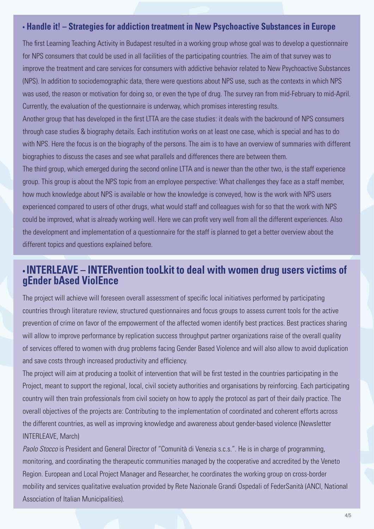#### **• Handle it! – Strategies for addiction treatment in New Psychoactive Substances in Europe**

The first Learning Teaching Activity in Budapest resulted in a working group whose goal was to develop a questionnaire for NPS consumers that could be used in all facilities of the participating countries. The aim of that survey was to improve the treatment and care services for consumers with addictive behavior related to New Psychoactive Substances (NPS). In addition to sociodemographic data, there were questions about NPS use, such as the contexts in which NPS was used, the reason or motivation for doing so, or even the type of drug. The survey ran from mid-February to mid-April. Currently, the evaluation of the questionnaire is underway, which promises interesting results.

Another group that has developed in the first LTTA are the case studies: it deals with the backround of NPS consumers through case studies & biography details. Each institution works on at least one case, which is special and has to do with NPS. Here the focus is on the biography of the persons. The aim is to have an overview of summaries with different biographies to discuss the cases and see what parallels and differences there are between them.

The third group, which emerged during the second online LTTA and is newer than the other two, is the staff experience group. This group is about the NPS topic from an employee perspective: What challenges they face as a staff member, how much knowledge about NPS is available or how the knowledge is conveyed, how is the work with NPS users experienced compared to users of other drugs, what would staff and colleagues wish for so that the work with NPS could be improved, what is already working well. Here we can profit very well from all the different experiences. Also the development and implementation of a questionnaire for the staff is planned to get a better overview about the different topics and questions explained before.

## **• INTERLEAVE – INTERvention tooLkit to deal with women drug users victims of gEnder bAsed ViolEnce**

The project will achieve will foreseen overall assessment of specific local initiatives performed by participating countries through literature review, structured questionnaires and focus groups to assess current tools for the active prevention of crime on favor of the empowerment of the affected women identify best practices. Best practices sharing will allow to improve performance by replication success throughput partner organizations raise of the overall quality of services offered to women with drug problems facing Gender Based Violence and will also allow to avoid duplication and save costs through increased productivity and efficiency.

The project will aim at producing a toolkit of intervention that will be first tested in the countries participating in the Project, meant to support the regional, local, civil society authorities and organisations by reinforcing. Each participating country will then train professionals from civil society on how to apply the protocol as part of their daily practice. The overall objectives of the projects are: Contributing to the implementation of coordinated and coherent efforts across the different countries, as well as improving knowledge and awareness about gender-based violence (Newsletter INTERLEAVE, March)

*Paolo Stocco* is President and General Director of "Comunità di Venezia s.c.s.". He is in charge of programming, monitoring, and coordinating the therapeutic communities managed by the cooperative and accredited by the Veneto Region. European and Local Project Manager and Researcher, he coordinates the working group on cross-border mobility and services qualitative evaluation provided by Rete Nazionale Grandi Ospedali of FederSanità (ANCI, National Association of Italian Municipalities).